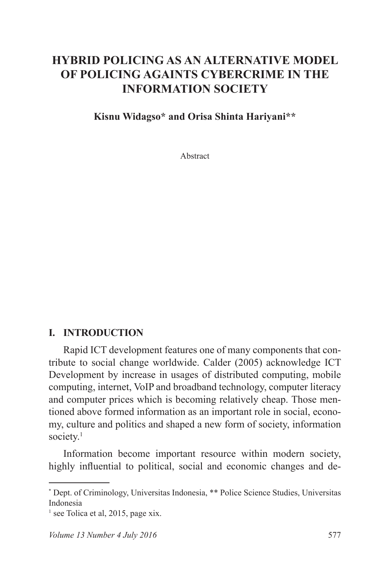# **HYBRID POLICING AS AN ALTERNATIVE MODEL OF POLICING AGAINTS CYBERCRIME IN THE INFORMATION SOCIETY**

#### **Kisnu Widagso\* and Orisa Shinta Hariyani\*\***

Abstract

#### **I. INTRODUCTION**

Rapid ICT development features one of many components that contribute to social change worldwide. Calder (2005) acknowledge ICT Development by increase in usages of distributed computing, mobile computing, internet, VoIP and broadband technology, computer literacy and computer prices which is becoming relatively cheap. Those mentioned above formed information as an important role in social, economy, culture and politics and shaped a new form of society, information society.<sup>1</sup>

Information become important resource within modern society, highly influential to political, social and economic changes and de-

<sup>\*</sup> Dept. of Criminology, Universitas Indonesia, \*\* Police Science Studies, Universitas Indonesia

<sup>&</sup>lt;sup>1</sup> see Tolica et al, 2015, page xix.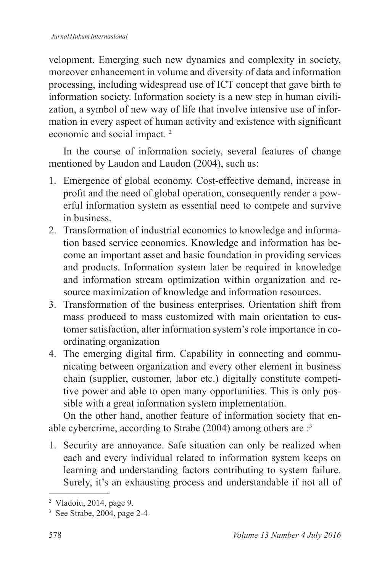velopment. Emerging such new dynamics and complexity in society, moreover enhancement in volume and diversity of data and information processing, including widespread use of ICT concept that gave birth to information society. Information society is a new step in human civilization, a symbol of new way of life that involve intensive use of information in every aspect of human activity and existence with significant economic and social impact. <sup>2</sup>

In the course of information society, several features of change mentioned by Laudon and Laudon (2004), such as:

- 1. Emergence of global economy. Cost-effective demand, increase in profit and the need of global operation, consequently render a powerful information system as essential need to compete and survive in business.
- 2. Transformation of industrial economics to knowledge and information based service economics. Knowledge and information has become an important asset and basic foundation in providing services and products. Information system later be required in knowledge and information stream optimization within organization and resource maximization of knowledge and information resources.
- 3. Transformation of the business enterprises. Orientation shift from mass produced to mass customized with main orientation to customer satisfaction, alter information system's role importance in coordinating organization
- 4. The emerging digital firm. Capability in connecting and communicating between organization and every other element in business chain (supplier, customer, labor etc.) digitally constitute competitive power and able to open many opportunities. This is only possible with a great information system implementation.

On the other hand, another feature of information society that enable cybercrime, according to Strabe (2004) among others are :<sup>3</sup>

1. Security are annoyance. Safe situation can only be realized when each and every individual related to information system keeps on learning and understanding factors contributing to system failure. Surely, it's an exhausting process and understandable if not all of

<sup>2</sup> Vladoiu, 2014, page 9.

<sup>3</sup> See Strabe, 2004, page 2-4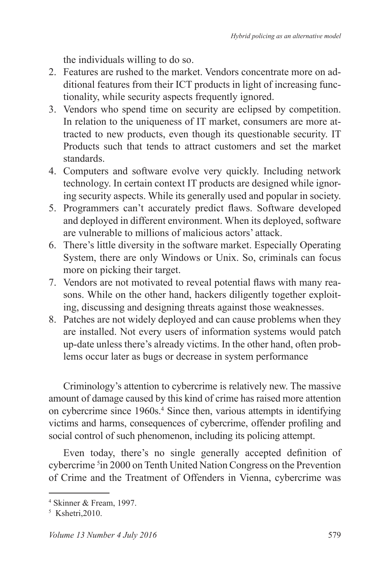the individuals willing to do so.

- 2. Features are rushed to the market. Vendors concentrate more on additional features from their ICT products in light of increasing functionality, while security aspects frequently ignored.
- 3. Vendors who spend time on security are eclipsed by competition. In relation to the uniqueness of IT market, consumers are more attracted to new products, even though its questionable security. IT Products such that tends to attract customers and set the market standards.
- 4. Computers and software evolve very quickly. Including network technology. In certain context IT products are designed while ignoring security aspects. While its generally used and popular in society.
- 5. Programmers can't accurately predict flaws. Software developed and deployed in different environment. When its deployed, software are vulnerable to millions of malicious actors' attack.
- 6. There's little diversity in the software market. Especially Operating System, there are only Windows or Unix. So, criminals can focus more on picking their target.
- 7. Vendors are not motivated to reveal potential flaws with many reasons. While on the other hand, hackers diligently together exploiting, discussing and designing threats against those weaknesses.
- 8. Patches are not widely deployed and can cause problems when they are installed. Not every users of information systems would patch up-date unless there's already victims. In the other hand, often problems occur later as bugs or decrease in system performance

Criminology's attention to cybercrime is relatively new. The massive amount of damage caused by this kind of crime has raised more attention on cybercrime since 1960s.<sup>4</sup> Since then, various attempts in identifying victims and harms, consequences of cybercrime, offender profiling and social control of such phenomenon, including its policing attempt.

Even today, there's no single generally accepted definition of cybercrime <sup>5</sup> in 2000 on Tenth United Nation Congress on the Prevention of Crime and the Treatment of Offenders in Vienna, cybercrime was

<sup>4</sup> Skinner & Fream, 1997.

<sup>5</sup> Kshetri,2010.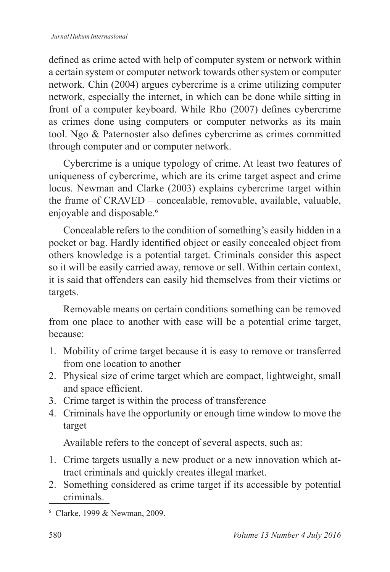defined as crime acted with help of computer system or network within a certain system or computer network towards other system or computer network. Chin (2004) argues cybercrime is a crime utilizing computer network, especially the internet, in which can be done while sitting in front of a computer keyboard. While Rho (2007) defines cybercrime as crimes done using computers or computer networks as its main tool. Ngo & Paternoster also defines cybercrime as crimes committed through computer and or computer network.

Cybercrime is a unique typology of crime. At least two features of uniqueness of cybercrime, which are its crime target aspect and crime locus. Newman and Clarke (2003) explains cybercrime target within the frame of CRAVED – concealable, removable, available, valuable, enjoyable and disposable.<sup>6</sup>

Concealable refers to the condition of something's easily hidden in a pocket or bag. Hardly identified object or easily concealed object from others knowledge is a potential target. Criminals consider this aspect so it will be easily carried away, remove or sell. Within certain context, it is said that offenders can easily hid themselves from their victims or targets.

Removable means on certain conditions something can be removed from one place to another with ease will be a potential crime target, because:

- 1. Mobility of crime target because it is easy to remove or transferred from one location to another
- 2. Physical size of crime target which are compact, lightweight, small and space efficient.
- 3. Crime target is within the process of transference
- 4. Criminals have the opportunity or enough time window to move the target

Available refers to the concept of several aspects, such as:

- 1. Crime targets usually a new product or a new innovation which attract criminals and quickly creates illegal market.
- 2. Something considered as crime target if its accessible by potential criminals.

<sup>6</sup> Clarke, 1999 & Newman, 2009.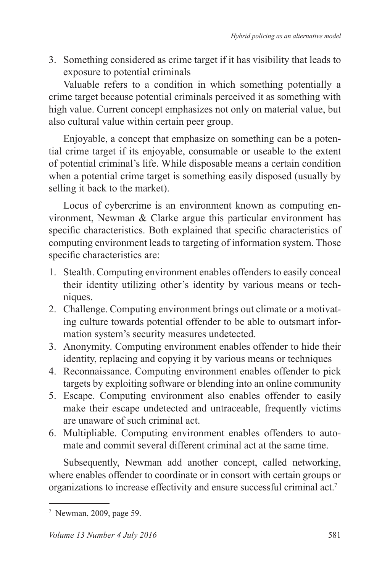3. Something considered as crime target if it has visibility that leads to exposure to potential criminals

Valuable refers to a condition in which something potentially a crime target because potential criminals perceived it as something with high value. Current concept emphasizes not only on material value, but also cultural value within certain peer group.

Enjoyable, a concept that emphasize on something can be a potential crime target if its enjoyable, consumable or useable to the extent of potential criminal's life. While disposable means a certain condition when a potential crime target is something easily disposed (usually by selling it back to the market).

Locus of cybercrime is an environment known as computing environment, Newman & Clarke argue this particular environment has specific characteristics. Both explained that specific characteristics of computing environment leads to targeting of information system. Those specific characteristics are:

- 1. Stealth. Computing environment enables offenders to easily conceal their identity utilizing other's identity by various means or techniques.
- 2. Challenge. Computing environment brings out climate or a motivating culture towards potential offender to be able to outsmart information system's security measures undetected.
- 3. Anonymity. Computing environment enables offender to hide their identity, replacing and copying it by various means or techniques
- 4. Reconnaissance. Computing environment enables offender to pick targets by exploiting software or blending into an online community
- 5. Escape. Computing environment also enables offender to easily make their escape undetected and untraceable, frequently victims are unaware of such criminal act.
- 6. Multipliable. Computing environment enables offenders to automate and commit several different criminal act at the same time.

Subsequently, Newman add another concept, called networking, where enables offender to coordinate or in consort with certain groups or organizations to increase effectivity and ensure successful criminal act.<sup>7</sup>

<sup>7</sup> Newman, 2009, page 59.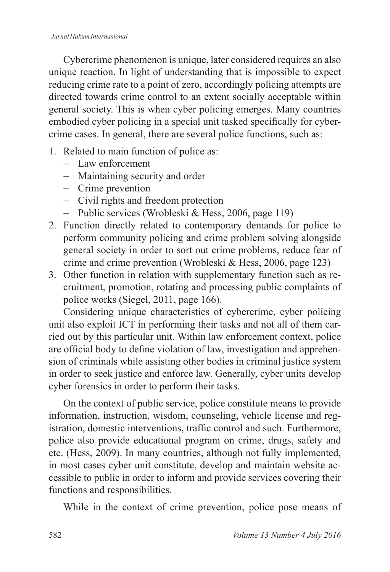Cybercrime phenomenon is unique, later considered requires an also unique reaction. In light of understanding that is impossible to expect reducing crime rate to a point of zero, accordingly policing attempts are directed towards crime control to an extent socially acceptable within general society. This is when cyber policing emerges. Many countries embodied cyber policing in a special unit tasked specifically for cybercrime cases. In general, there are several police functions, such as:

- 1. Related to main function of police as:
	- Law enforcement
	- Maintaining security and order
	- Crime prevention
	- Civil rights and freedom protection
	- Public services (Wrobleski & Hess, 2006, page 119)
- 2. Function directly related to contemporary demands for police to perform community policing and crime problem solving alongside general society in order to sort out crime problems, reduce fear of crime and crime prevention (Wrobleski & Hess, 2006, page 123)
- 3. Other function in relation with supplementary function such as recruitment, promotion, rotating and processing public complaints of police works (Siegel, 2011, page 166).

Considering unique characteristics of cybercrime, cyber policing unit also exploit ICT in performing their tasks and not all of them carried out by this particular unit. Within law enforcement context, police are official body to define violation of law, investigation and apprehension of criminals while assisting other bodies in criminal justice system in order to seek justice and enforce law. Generally, cyber units develop cyber forensics in order to perform their tasks.

On the context of public service, police constitute means to provide information, instruction, wisdom, counseling, vehicle license and registration, domestic interventions, traffic control and such. Furthermore, police also provide educational program on crime, drugs, safety and etc. (Hess, 2009). In many countries, although not fully implemented, in most cases cyber unit constitute, develop and maintain website accessible to public in order to inform and provide services covering their functions and responsibilities.

While in the context of crime prevention, police pose means of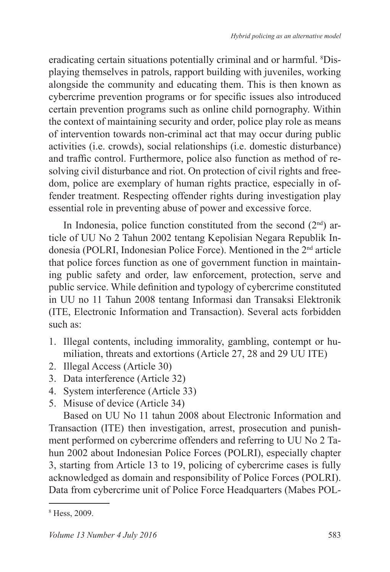eradicating certain situations potentially criminal and or harmful. <sup>8</sup>Displaying themselves in patrols, rapport building with juveniles, working alongside the community and educating them. This is then known as cybercrime prevention programs or for specific issues also introduced certain prevention programs such as online child pornography. Within the context of maintaining security and order, police play role as means of intervention towards non-criminal act that may occur during public activities (i.e. crowds), social relationships (i.e. domestic disturbance) and traffic control. Furthermore, police also function as method of resolving civil disturbance and riot. On protection of civil rights and freedom, police are exemplary of human rights practice, especially in offender treatment. Respecting offender rights during investigation play essential role in preventing abuse of power and excessive force.

In Indonesia, police function constituted from the second  $(2<sup>nd</sup>)$  article of UU No 2 Tahun 2002 tentang Kepolisian Negara Republik Indonesia (POLRI, Indonesian Police Force). Mentioned in the 2nd article that police forces function as one of government function in maintaining public safety and order, law enforcement, protection, serve and public service. While definition and typology of cybercrime constituted in UU no 11 Tahun 2008 tentang Informasi dan Transaksi Elektronik (ITE, Electronic Information and Transaction). Several acts forbidden such as:

- 1. Illegal contents, including immorality, gambling, contempt or humiliation, threats and extortions (Article 27, 28 and 29 UU ITE)
- 2. Illegal Access (Article 30)
- 3. Data interference (Article 32)
- 4. System interference (Article 33)
- 5. Misuse of device (Article 34)

Based on UU No 11 tahun 2008 about Electronic Information and Transaction (ITE) then investigation, arrest, prosecution and punishment performed on cybercrime offenders and referring to UU No 2 Tahun 2002 about Indonesian Police Forces (POLRI), especially chapter 3, starting from Article 13 to 19, policing of cybercrime cases is fully acknowledged as domain and responsibility of Police Forces (POLRI). Data from cybercrime unit of Police Force Headquarters (Mabes POL-

<sup>8</sup> Hess, 2009.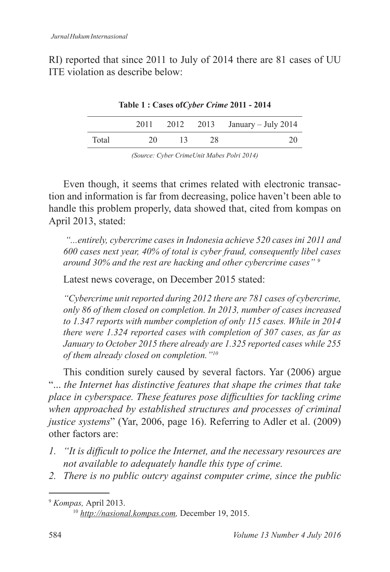RI) reported that since 2011 to July of 2014 there are 81 cases of UU ITE violation as describe below:

| Lable 1 : Cases of Crome 2011 - 2014 |      |    |           |                     |  |  |  |  |
|--------------------------------------|------|----|-----------|---------------------|--|--|--|--|
|                                      | 2011 |    | 2012 2013 | January – July 2014 |  |  |  |  |
| Total                                | 20   | 13 | 28        | 20                  |  |  |  |  |

**Table 1 : Cases of***Cyber Crime* **2011 - 2014**

*(Source: Cyber CrimeUnit Mabes Polri 2014)*

Even though, it seems that crimes related with electronic transaction and information is far from decreasing, police haven't been able to handle this problem properly, data showed that, cited from kompas on April 2013, stated:

 *"...entirely, cybercrime cases in Indonesia achieve 520 cases ini 2011 and 600 cases next year, 40% of total is cyber fraud, consequently libel cases around 30% and the rest are hacking and other cybercrime cases" <sup>9</sup>*

Latest news coverage, on December 2015 stated:

*"Cybercrime unit reported during 2012 there are 781 cases of cybercrime, only 86 of them closed on completion. In 2013, number of cases increased to 1.347 reports with number completion of only 115 cases. While in 2014 there were 1.324 reported cases with completion of 307 cases, as far as January to October 2015 there already are 1.325 reported cases while 255 of them already closed on completion."<sup>10</sup>*

This condition surely caused by several factors. Yar (2006) argue "... *the Internet has distinctive features that shape the crimes that take place in cyberspace. These features pose difficulties for tackling crime when approached by established structures and processes of criminal justice systems*" (Yar, 2006, page 16). Referring to Adler et al. (2009) other factors are:

- *1. "It is difficult to police the Internet, and the necessary resources are not available to adequately handle this type of crime.*
- *2. There is no public outcry against computer crime, since the public*

<sup>9</sup> *Kompas,* April 2013.

<sup>10</sup> *http://nasional.kompas.com,* December 19, 2015.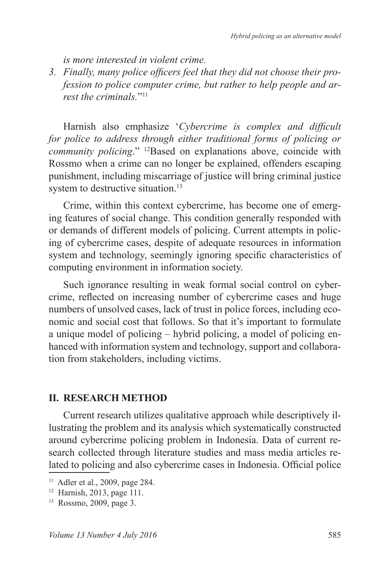*is more interested in violent crime.*

*3. Finally, many police officers feel that they did not choose their profession to police computer crime, but rather to help people and arrest the criminals.*" 11

Harnish also emphasize '*Cybercrime is complex and difficult for police to address through either traditional forms of policing or community policing*." <sup>12</sup>Based on explanations above, coincide with Rossmo when a crime can no longer be explained, offenders escaping punishment, including miscarriage of justice will bring criminal justice system to destructive situation.<sup>13</sup>

Crime, within this context cybercrime, has become one of emerging features of social change. This condition generally responded with or demands of different models of policing. Current attempts in policing of cybercrime cases, despite of adequate resources in information system and technology, seemingly ignoring specific characteristics of computing environment in information society.

Such ignorance resulting in weak formal social control on cybercrime, reflected on increasing number of cybercrime cases and huge numbers of unsolved cases, lack of trust in police forces, including economic and social cost that follows. So that it's important to formulate a unique model of policing – hybrid policing, a model of policing enhanced with information system and technology, support and collaboration from stakeholders, including victims.

### **II. RESEARCH METHOD**

Current research utilizes qualitative approach while descriptively illustrating the problem and its analysis which systematically constructed around cybercrime policing problem in Indonesia. Data of current research collected through literature studies and mass media articles related to policing and also cybercrime cases in Indonesia. Official police

<sup>11</sup> Adler et al., 2009, page 284.

<sup>12</sup> Harnish, 2013, page 111.

<sup>13</sup> Rossmo, 2009, page 3.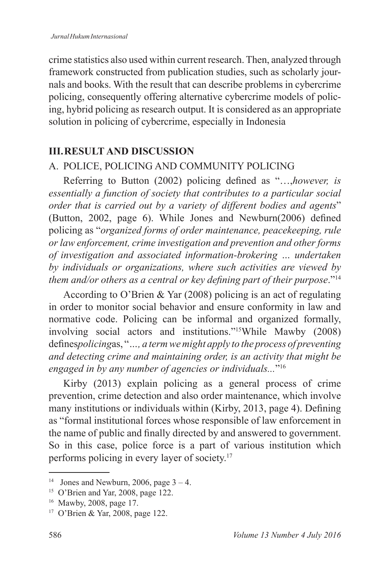crime statistics also used within current research. Then, analyzed through framework constructed from publication studies, such as scholarly journals and books. With the result that can describe problems in cybercrime policing, consequently offering alternative cybercrime models of policing, hybrid policing as research output. It is considered as an appropriate solution in policing of cybercrime, especially in Indonesia

### **III . RESULT AND DISCUSSION**

## A. POLICE, POLICING AND COMMUNITY POLICING

Referring to Button (2002) policing defined as "…,*however, is essentially a function of society that contributes to a particular social order that is carried out by a variety of different bodies and agents*" (Button, 2002, page 6). While Jones and Newburn(2006) defined policing as "*organized forms of order maintenance, peacekeeping, rule or law enforcement, crime investigation and prevention and other forms of investigation and associated information-brokering … undertaken by individuals or organizations, where such activities are viewed by them and/or others as a central or key defining part of their purpose*."<sup>14</sup>

According to O'Brien & Yar (2008) policing is an act of regulating in order to monitor social behavior and ensure conformity in law and normative code. Policing can be informal and organized formally, involving social actors and institutions."<sup>15</sup>While Mawby (2008) defines*policing*as, "*…, a term we might apply to the process of preventing and detecting crime and maintaining order, is an activity that might be engaged in by any number of agencies or individuals...*" 16

Kirby (2013) explain policing as a general process of crime prevention, crime detection and also order maintenance, which involve many institutions or individuals within (Kirby, 2013, page 4). Defining as "formal institutional forces whose responsible of law enforcement in the name of public and finally directed by and answered to government. So in this case, police force is a part of various institution which performs policing in every layer of society.<sup>17</sup>

<sup>&</sup>lt;sup>14</sup> Jones and Newburn, 2006, page  $3 - 4$ .

<sup>&</sup>lt;sup>15</sup> O'Brien and Yar, 2008, page 122.

<sup>16</sup> Mawby, 2008, page 17.

<sup>17</sup> O'Brien & Yar, 2008, page 122.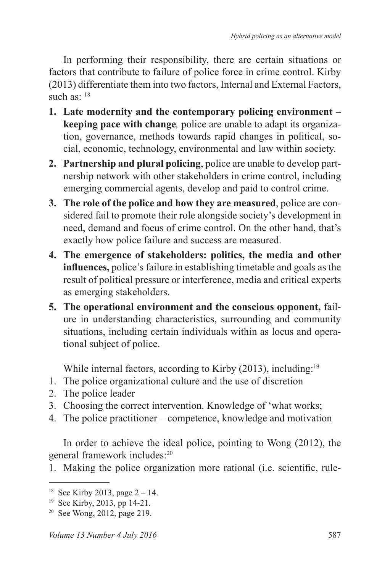In performing their responsibility, there are certain situations or factors that contribute to failure of police force in crime control. Kirby (2013) differentiate them into two factors, Internal and External Factors, such as:  $18$ 

- **1 . Late modernity and the contemporary policing environment keeping pace with change***,* police are unable to adapt its organization, governance, methods towards rapid changes in political, social, economic, technology, environmental and law within society.
- **2 . Partnership and plural policing**, police are unable to develop partnership network with other stakeholders in crime control, including emerging commercial agents, develop and paid to control crime.
- **3 . The role of the police and how they are measured**, police are considered fail to promote their role alongside society's development in need, demand and focus of crime control. On the other hand, that's exactly how police failure and success are measured.
- **4 . The emergence of stakeholders: politics, the media and other influences,** police's failure in establishing timetable and goals as the result of political pressure or interference, media and critical experts as emerging stakeholders.
- **5 . The operational environment and the conscious opponent,** failure in understanding characteristics, surrounding and community situations, including certain individuals within as locus and operational subject of police.

While internal factors, according to Kirby (2013), including:<sup>19</sup>

- 1. The police organizational culture and the use of discretion
- 2. The police leader
- 3. Choosing the correct intervention. Knowledge of 'what works;
- 4. The police practitioner competence, knowledge and motivation

In order to achieve the ideal police, pointing to Wong (2012), the general framework includes:<sup>20</sup>

1. Making the police organization more rational (i.e. scientific, rule-

<sup>&</sup>lt;sup>18</sup> See Kirby 2013, page  $2 - 14$ .

<sup>19</sup> See Kirby, 2013, pp 14-21.

<sup>20</sup> See Wong, 2012, page 219.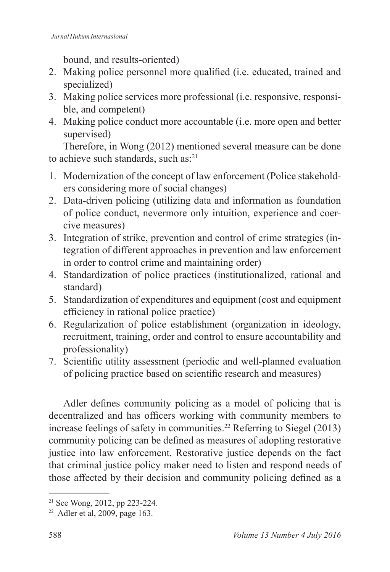bound, and results-oriented)

- 2. Making police personnel more qualified (i.e. educated, trained and specialized)
- 3. Making police services more professional (i.e. responsive, responsible, and competent)
- 4. Making police conduct more accountable (i.e. more open and better supervised)

Therefore, in Wong (2012) mentioned several measure can be done to achieve such standards, such as:<sup>21</sup>

- 1. Modernization of the concept of law enforcement (Police stakeholders considering more of social changes)
- 2. Data-driven policing (utilizing data and information as foundation of police conduct, nevermore only intuition, experience and coercive measures)
- 3. Integration of strike, prevention and control of crime strategies (integration of different approaches in prevention and law enforcement in order to control crime and maintaining order)
- 4. Standardization of police practices (institutionalized, rational and standard)
- 5. Standardization of expenditures and equipment (cost and equipment efficiency in rational police practice)
- 6. Regularization of police establishment (organization in ideology, recruitment, training, order and control to ensure accountability and professionality)
- 7. Scientific utility assessment (periodic and well-planned evaluation of policing practice based on scientific research and measures)

Adler defines community policing as a model of policing that is decentralized and has officers working with community members to increase feelings of safety in communities.<sup>22</sup> Referring to Siegel (2013) community policing can be defined as measures of adopting restorative justice into law enforcement. Restorative justice depends on the fact that criminal justice policy maker need to listen and respond needs of those affected by their decision and community policing defined as a

<sup>21</sup> See Wong, 2012, pp 223-224.

 $22$  Adler et al, 2009, page 163.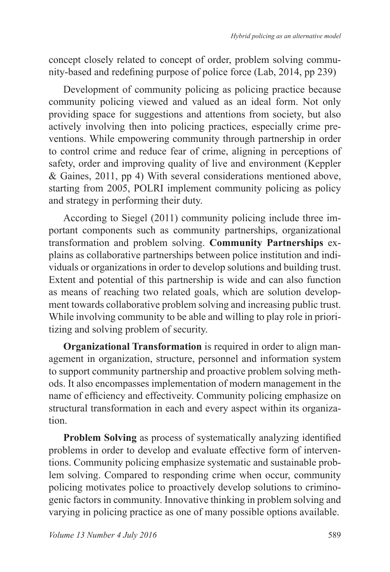concept closely related to concept of order, problem solving community-based and redefining purpose of police force (Lab, 2014, pp 239)

Development of community policing as policing practice because community policing viewed and valued as an ideal form. Not only providing space for suggestions and attentions from society, but also actively involving then into policing practices, especially crime preventions. While empowering community through partnership in order to control crime and reduce fear of crime, aligning in perceptions of safety, order and improving quality of live and environment (Keppler & Gaines, 2011, pp 4) With several considerations mentioned above, starting from 2005, POLRI implement community policing as policy and strategy in performing their duty.

According to Siegel (2011) community policing include three important components such as community partnerships, organizational transformation and problem solving. **Community Partnerships** explains as collaborative partnerships between police institution and individuals or organizations in order to develop solutions and building trust. Extent and potential of this partnership is wide and can also function as means of reaching two related goals, which are solution development towards collaborative problem solving and increasing public trust. While involving community to be able and willing to play role in prioritizing and solving problem of security.

**Organizational Transformation** is required in order to align management in organization, structure, personnel and information system to support community partnership and proactive problem solving methods. It also encompasses implementation of modern management in the name of efficiency and effectiveity. Community policing emphasize on structural transformation in each and every aspect within its organization.

**Problem Solving** as process of systematically analyzing identified problems in order to develop and evaluate effective form of interventions. Community policing emphasize systematic and sustainable problem solving. Compared to responding crime when occur, community policing motivates police to proactively develop solutions to criminogenic factors in community. Innovative thinking in problem solving and varying in policing practice as one of many possible options available.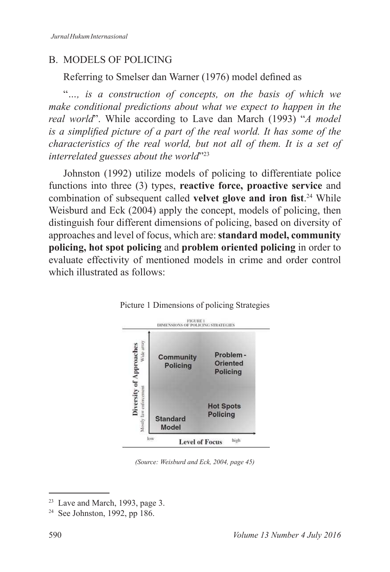## B. MODELS OF POLICING

Referring to Smelser dan Warner (1976) model defined as

"*…, is a construction of concepts, on the basis of which we make conditional predictions about what we expect to happen in the real world*". While according to Lave dan March (1993) "*A model is a simplified picture of a part of the real world. It has some of the characteristics of the real world, but not all of them. It is a set of interrelated guesses about the world*" 23

Johnston (1992) utilize models of policing to differentiate police functions into three (3) types, **reactive force, proactive service** and combination of subsequent called **velvet glove and iron fist**. <sup>24</sup> While Weisburd and Eck (2004) apply the concept, models of policing, then distinguish four different dimensions of policing, based on diversity of approaches and level of focus, which are: **standard model, community policing, hot spot policing** and **problem oriented policing** in order to evaluate effectivity of mentioned models in crime and order control which illustrated as follows:



Picture 1 Dimensions of policing Strategies

*(Source: Weisburd and Eck, 2004, page 45)*

<sup>23</sup> Lave and March, 1993, page 3.

<sup>24</sup> See Johnston, 1992, pp 186.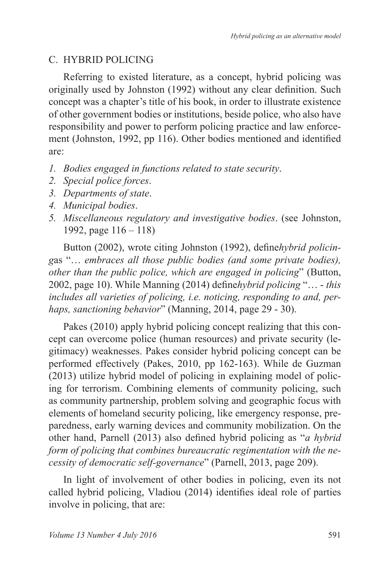## C. HYBRID POLICING

Referring to existed literature, as a concept, hybrid policing was originally used by Johnston (1992) without any clear definition. Such concept was a chapter's title of his book, in order to illustrate existence of other government bodies or institutions, beside police, who also have responsibility and power to perform policing practice and law enforcement (Johnston, 1992, pp 116). Other bodies mentioned and identified are:

- *1. Bodies engaged in functions related to state security*.
- *2. Special police forces*.
- *3. Departments of state*.
- *4. Municipal bodies*.
- *5. Miscellaneous regulatory and investigative bodies*. (see Johnston, 1992, page 116 – 118)

Button (2002), wrote citing Johnston (1992), define*hybrid policing*as "… *embraces all those public bodies (and some private bodies), other than the public police, which are engaged in policing*" (Button, 2002, page 10). While Manning (2014) define*hybrid policing* "… - *this includes all varieties of policing, i.e. noticing, responding to and, perhaps, sanctioning behavior*" (Manning, 2014, page 29 - 30).

Pakes (2010) apply hybrid policing concept realizing that this concept can overcome police (human resources) and private security (legitimacy) weaknesses. Pakes consider hybrid policing concept can be performed effectively (Pakes, 2010, pp 162-163). While de Guzman (2013) utilize hybrid model of policing in explaining model of policing for terrorism. Combining elements of community policing, such as community partnership, problem solving and geographic focus with elements of homeland security policing, like emergency response, preparedness, early warning devices and community mobilization. On the other hand, Parnell (2013) also defined hybrid policing as "*a hybrid form of policing that combines bureaucratic regimentation with the necessity of democratic self-governance*" (Parnell, 2013, page 209).

In light of involvement of other bodies in policing, even its not called hybrid policing, Vladiou (2014) identifies ideal role of parties involve in policing, that are: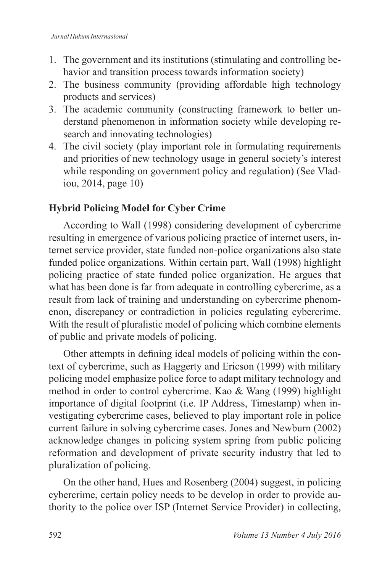- 1. The government and its institutions (stimulating and controlling behavior and transition process towards information society)
- 2. The business community (providing affordable high technology products and services)
- 3. The academic community (constructing framework to better understand phenomenon in information society while developing research and innovating technologies)
- 4. The civil society (play important role in formulating requirements and priorities of new technology usage in general society's interest while responding on government policy and regulation) (See Vladiou, 2014, page 10)

## **Hybrid Policing Model for Cyber Crime**

According to Wall (1998) considering development of cybercrime resulting in emergence of various policing practice of internet users, internet service provider, state funded non-police organizations also state funded police organizations. Within certain part, Wall (1998) highlight policing practice of state funded police organization. He argues that what has been done is far from adequate in controlling cybercrime, as a result from lack of training and understanding on cybercrime phenomenon, discrepancy or contradiction in policies regulating cybercrime. With the result of pluralistic model of policing which combine elements of public and private models of policing.

Other attempts in defining ideal models of policing within the context of cybercrime, such as Haggerty and Ericson (1999) with military policing model emphasize police force to adapt military technology and method in order to control cybercrime. Kao & Wang (1999) highlight importance of digital footprint (i.e. IP Address, Timestamp) when investigating cybercrime cases, believed to play important role in police current failure in solving cybercrime cases. Jones and Newburn (2002) acknowledge changes in policing system spring from public policing reformation and development of private security industry that led to pluralization of policing.

On the other hand, Hues and Rosenberg (2004) suggest, in policing cybercrime, certain policy needs to be develop in order to provide authority to the police over ISP (Internet Service Provider) in collecting,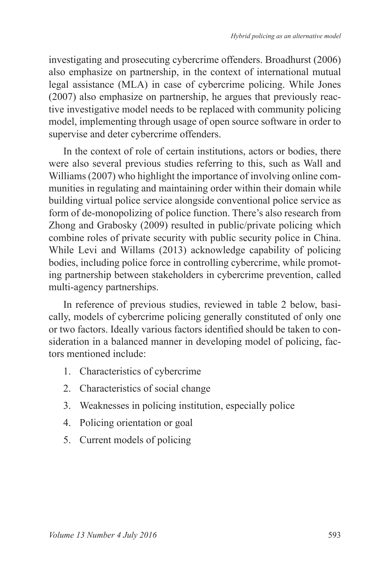investigating and prosecuting cybercrime offenders. Broadhurst (2006) also emphasize on partnership, in the context of international mutual legal assistance (MLA) in case of cybercrime policing. While Jones (2007) also emphasize on partnership, he argues that previously reactive investigative model needs to be replaced with community policing model, implementing through usage of open source software in order to supervise and deter cybercrime offenders.

In the context of role of certain institutions, actors or bodies, there were also several previous studies referring to this, such as Wall and Williams (2007) who highlight the importance of involving online communities in regulating and maintaining order within their domain while building virtual police service alongside conventional police service as form of de-monopolizing of police function. There's also research from Zhong and Grabosky (2009) resulted in public/private policing which combine roles of private security with public security police in China. While Levi and Willams (2013) acknowledge capability of policing bodies, including police force in controlling cybercrime, while promoting partnership between stakeholders in cybercrime prevention, called multi-agency partnerships.

In reference of previous studies, reviewed in table 2 below, basically, models of cybercrime policing generally constituted of only one or two factors. Ideally various factors identified should be taken to consideration in a balanced manner in developing model of policing, factors mentioned include:

- 1. Characteristics of cybercrime
- 2. Characteristics of social change
- 3. Weaknesses in policing institution, especially police
- 4. Policing orientation or goal
- 5. Current models of policing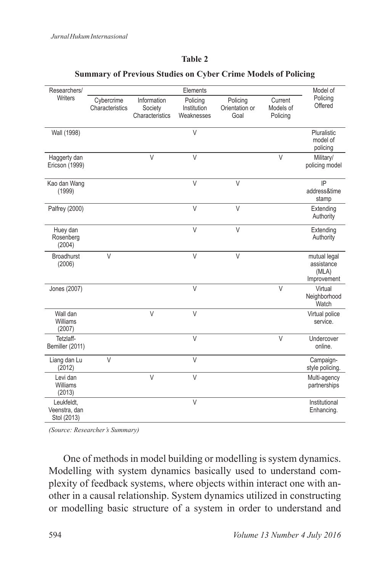#### **Table 2**

| Researchers/                               |                               |                                           | Elements                              |                                    |                                  | Model of                                           |
|--------------------------------------------|-------------------------------|-------------------------------------------|---------------------------------------|------------------------------------|----------------------------------|----------------------------------------------------|
| <b>Writers</b>                             | Cybercrime<br>Characteristics | Information<br>Society<br>Characteristics | Policing<br>Institution<br>Weaknesses | Policing<br>Orientation or<br>Goal | Current<br>Models of<br>Policing | Policing<br>Offered                                |
| Wall (1998)                                |                               |                                           | $\vee$                                |                                    |                                  | Pluralistic<br>model of<br>policing                |
| Haggerty dan<br>Ericson (1999)             |                               | $\vee$                                    | $\vee$                                |                                    | $\vee$                           | Military/<br>policing model                        |
| Kao dan Wang<br>(1999)                     |                               |                                           | $\vee$                                | $\vee$                             |                                  | IP<br>address&time<br>stamp                        |
| Palfrey (2000)                             |                               |                                           | $\vee$                                | $\vee$                             |                                  | Extending<br>Authority                             |
| Huey dan<br>Rosenberg<br>(2004)            |                               |                                           | $\vee$                                | $\vee$                             |                                  | Extending<br>Authority                             |
| <b>Broadhurst</b><br>(2006)                | $\vee$                        |                                           | $\vee$                                | $\vee$                             |                                  | mutual legal<br>assistance<br>(MLA)<br>Improvement |
| Jones (2007)                               |                               |                                           | $\vee$                                |                                    | $\vee$                           | Virtual<br>Neighborhood<br>Watch                   |
| Wall dan<br>Williams<br>(2007)             |                               | $\vee$                                    | $\vee$                                |                                    |                                  | Virtual police<br>service.                         |
| Tetzlaff-<br>Bemiller (2011)               |                               |                                           | $\vee$                                |                                    | $\vee$                           | Undercover<br>online.                              |
| Liang dan Lu<br>(2012)                     | $\vee$                        |                                           | $\vee$                                |                                    |                                  | Campaign-<br>style policing.                       |
| Levi dan<br>Williams<br>(2013)             |                               | $\vee$                                    | $\vee$                                |                                    |                                  | Multi-agency<br>partnerships                       |
| Leukfeldt.<br>Veenstra, dan<br>Stol (2013) |                               |                                           | $\vee$                                |                                    |                                  | Institutional<br>Enhancing.                        |

#### **Summary of Previous Studies on Cyber Crime Models of Policing**

*(Source: Researcher's Summary)*

One of methods in model building or modelling is system dynamics. Modelling with system dynamics basically used to understand complexity of feedback systems, where objects within interact one with another in a causal relationship. System dynamics utilized in constructing or modelling basic structure of a system in order to understand and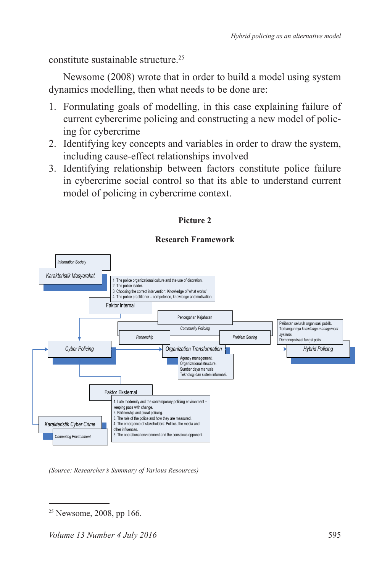constitute sustainable structure.<sup>25</sup>

Newsome (2008) wrote that in order to build a model using system dynamics modelling, then what needs to be done are:

- 1. Formulating goals of modelling, in this case explaining failure of current cybercrime policing and constructing a new model of policing for cybercrime
- 2. Identifying key concepts and variables in order to draw the system, including cause-effect relationships involved
- 3. Identifying relationship between factors constitute police failure in cybercrime social control so that its able to understand current model of policing in cybercrime context.



#### **Picture 2**

#### **Research Framework**

*(Source: Researcher's Summary of Various Resources)*

 $25$  Newsome, 2008, pp 166.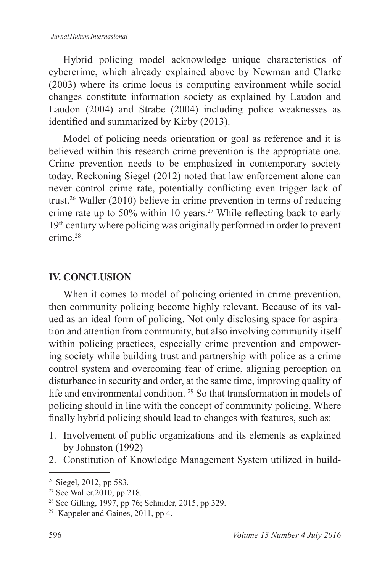Hybrid policing model acknowledge unique characteristics of cybercrime, which already explained above by Newman and Clarke (2003) where its crime locus is computing environment while social changes constitute information society as explained by Laudon and Laudon (2004) and Strabe (2004) including police weaknesses as identified and summarized by Kirby (2013).

Model of policing needs orientation or goal as reference and it is believed within this research crime prevention is the appropriate one. Crime prevention needs to be emphasized in contemporary society today. Reckoning Siegel (2012) noted that law enforcement alone can never control crime rate, potentially conflicting even trigger lack of trust.<sup>26</sup> Waller (2010) believe in crime prevention in terms of reducing crime rate up to 50% within 10 years.<sup>27</sup> While reflecting back to early 19th century where policing was originally performed in order to prevent crime<sup>28</sup>

## **IV. CONCLUSION**

When it comes to model of policing oriented in crime prevention, then community policing become highly relevant. Because of its valued as an ideal form of policing. Not only disclosing space for aspiration and attention from community, but also involving community itself within policing practices, especially crime prevention and empowering society while building trust and partnership with police as a crime control system and overcoming fear of crime, aligning perception on disturbance in security and order, at the same time, improving quality of life and environmental condition. <sup>29</sup> So that transformation in models of policing should in line with the concept of community policing. Where finally hybrid policing should lead to changes with features, such as:

- 1. Involvement of public organizations and its elements as explained by Johnston (1992)
- 2. Constitution of Knowledge Management System utilized in build-

<sup>26</sup> Siegel, 2012, pp 583.

<sup>27</sup> See Waller,2010, pp 218.

<sup>28</sup> See Gilling, 1997, pp 76; Schnider, 2015, pp 329.

<sup>29</sup> Kappeler and Gaines, 2011, pp 4.